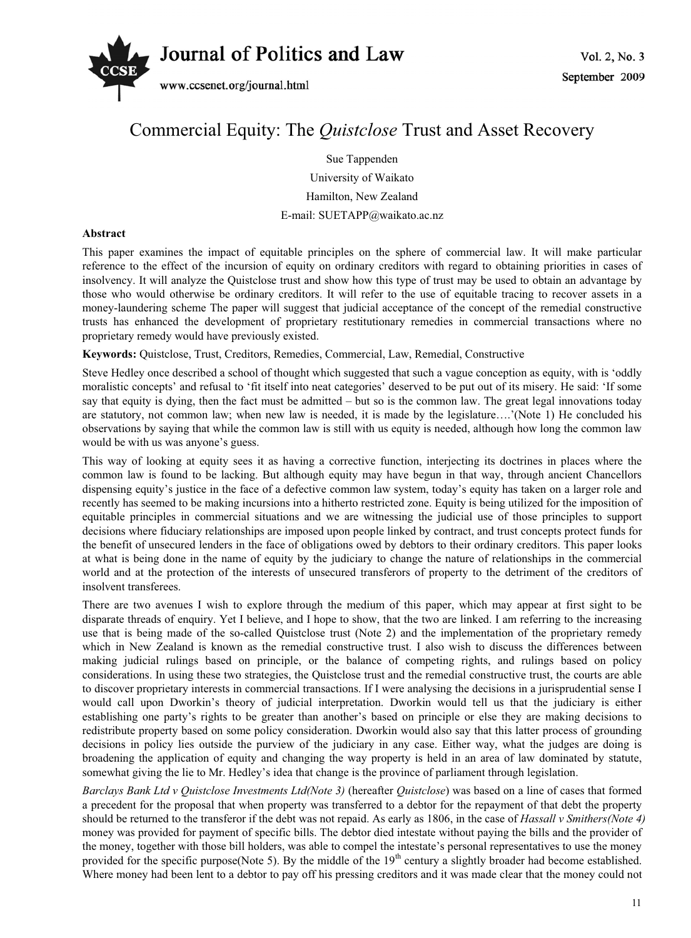

## Commercial Equity: The *Quistclose* Trust and Asset Recovery

Sue Tappenden University of Waikato Hamilton, New Zealand E-mail: SUETAPP@waikato.ac.nz

## **Abstract**

This paper examines the impact of equitable principles on the sphere of commercial law. It will make particular reference to the effect of the incursion of equity on ordinary creditors with regard to obtaining priorities in cases of insolvency. It will analyze the Quistclose trust and show how this type of trust may be used to obtain an advantage by those who would otherwise be ordinary creditors. It will refer to the use of equitable tracing to recover assets in a money-laundering scheme The paper will suggest that judicial acceptance of the concept of the remedial constructive trusts has enhanced the development of proprietary restitutionary remedies in commercial transactions where no proprietary remedy would have previously existed.

**Keywords:** Quistclose, Trust, Creditors, Remedies, Commercial, Law, Remedial, Constructive

Steve Hedley once described a school of thought which suggested that such a vague conception as equity, with is 'oddly moralistic concepts' and refusal to 'fit itself into neat categories' deserved to be put out of its misery. He said: 'If some say that equity is dying, then the fact must be admitted – but so is the common law. The great legal innovations today are statutory, not common law; when new law is needed, it is made by the legislature….'(Note 1) He concluded his observations by saying that while the common law is still with us equity is needed, although how long the common law would be with us was anyone's guess.

This way of looking at equity sees it as having a corrective function, interjecting its doctrines in places where the common law is found to be lacking. But although equity may have begun in that way, through ancient Chancellors dispensing equity's justice in the face of a defective common law system, today's equity has taken on a larger role and recently has seemed to be making incursions into a hitherto restricted zone. Equity is being utilized for the imposition of equitable principles in commercial situations and we are witnessing the judicial use of those principles to support decisions where fiduciary relationships are imposed upon people linked by contract, and trust concepts protect funds for the benefit of unsecured lenders in the face of obligations owed by debtors to their ordinary creditors. This paper looks at what is being done in the name of equity by the judiciary to change the nature of relationships in the commercial world and at the protection of the interests of unsecured transferors of property to the detriment of the creditors of insolvent transferees.

There are two avenues I wish to explore through the medium of this paper, which may appear at first sight to be disparate threads of enquiry. Yet I believe, and I hope to show, that the two are linked. I am referring to the increasing use that is being made of the so-called Quistclose trust (Note 2) and the implementation of the proprietary remedy which in New Zealand is known as the remedial constructive trust. I also wish to discuss the differences between making judicial rulings based on principle, or the balance of competing rights, and rulings based on policy considerations. In using these two strategies, the Quistclose trust and the remedial constructive trust, the courts are able to discover proprietary interests in commercial transactions. If I were analysing the decisions in a jurisprudential sense I would call upon Dworkin's theory of judicial interpretation. Dworkin would tell us that the judiciary is either establishing one party's rights to be greater than another's based on principle or else they are making decisions to redistribute property based on some policy consideration. Dworkin would also say that this latter process of grounding decisions in policy lies outside the purview of the judiciary in any case. Either way, what the judges are doing is broadening the application of equity and changing the way property is held in an area of law dominated by statute, somewhat giving the lie to Mr. Hedley's idea that change is the province of parliament through legislation.

*Barclays Bank Ltd v Quistclose Investments Ltd(Note 3)* (hereafter *Quistclose*) was based on a line of cases that formed a precedent for the proposal that when property was transferred to a debtor for the repayment of that debt the property should be returned to the transferor if the debt was not repaid. As early as 1806, in the case of *Hassall v Smithers(Note 4)* money was provided for payment of specific bills. The debtor died intestate without paying the bills and the provider of the money, together with those bill holders, was able to compel the intestate's personal representatives to use the money provided for the specific purpose(Note 5). By the middle of the  $19<sup>th</sup>$  century a slightly broader had become established. Where money had been lent to a debtor to pay off his pressing creditors and it was made clear that the money could not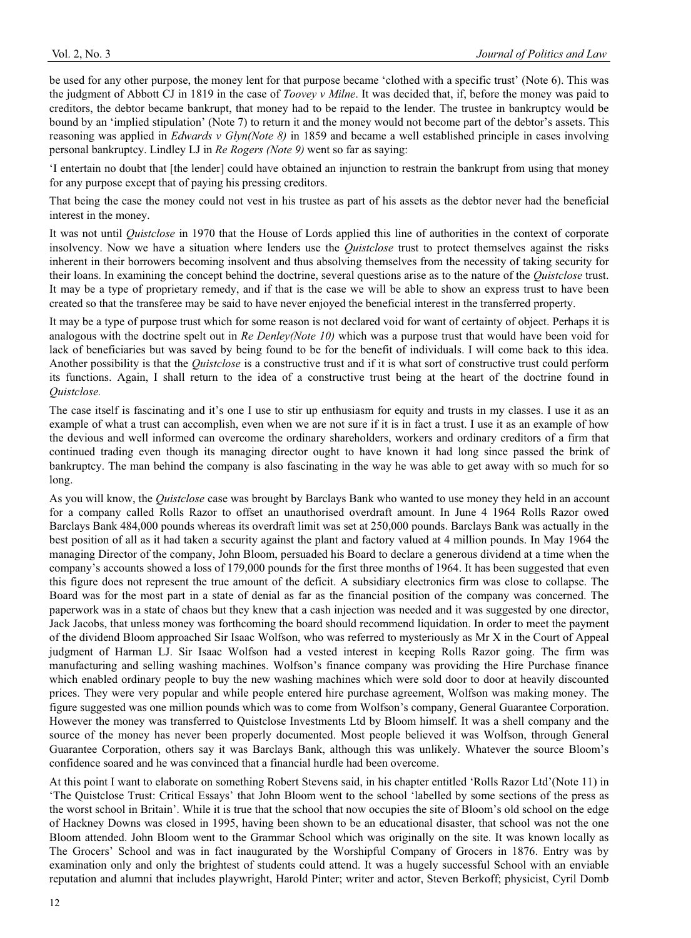be used for any other purpose, the money lent for that purpose became 'clothed with a specific trust' (Note 6). This was the judgment of Abbott CJ in 1819 in the case of *Toovey v Milne*. It was decided that, if, before the money was paid to creditors, the debtor became bankrupt, that money had to be repaid to the lender. The trustee in bankruptcy would be bound by an 'implied stipulation' (Note 7) to return it and the money would not become part of the debtor's assets. This reasoning was applied in *Edwards v Glyn(Note 8)* in 1859 and became a well established principle in cases involving personal bankruptcy. Lindley LJ in *Re Rogers (Note 9)* went so far as saying:

'I entertain no doubt that [the lender] could have obtained an injunction to restrain the bankrupt from using that money for any purpose except that of paying his pressing creditors.

That being the case the money could not vest in his trustee as part of his assets as the debtor never had the beneficial interest in the money.

It was not until *Quistclose* in 1970 that the House of Lords applied this line of authorities in the context of corporate insolvency. Now we have a situation where lenders use the *Quistclose* trust to protect themselves against the risks inherent in their borrowers becoming insolvent and thus absolving themselves from the necessity of taking security for their loans. In examining the concept behind the doctrine, several questions arise as to the nature of the *Quistclose* trust. It may be a type of proprietary remedy, and if that is the case we will be able to show an express trust to have been created so that the transferee may be said to have never enjoyed the beneficial interest in the transferred property.

It may be a type of purpose trust which for some reason is not declared void for want of certainty of object. Perhaps it is analogous with the doctrine spelt out in *Re Denley(Note 10)* which was a purpose trust that would have been void for lack of beneficiaries but was saved by being found to be for the benefit of individuals. I will come back to this idea. Another possibility is that the *Quistclose* is a constructive trust and if it is what sort of constructive trust could perform its functions. Again, I shall return to the idea of a constructive trust being at the heart of the doctrine found in *Quistclose.*

The case itself is fascinating and it's one I use to stir up enthusiasm for equity and trusts in my classes. I use it as an example of what a trust can accomplish, even when we are not sure if it is in fact a trust. I use it as an example of how the devious and well informed can overcome the ordinary shareholders, workers and ordinary creditors of a firm that continued trading even though its managing director ought to have known it had long since passed the brink of bankruptcy. The man behind the company is also fascinating in the way he was able to get away with so much for so long.

As you will know, the *Quistclose* case was brought by Barclays Bank who wanted to use money they held in an account for a company called Rolls Razor to offset an unauthorised overdraft amount. In June 4 1964 Rolls Razor owed Barclays Bank 484,000 pounds whereas its overdraft limit was set at 250,000 pounds. Barclays Bank was actually in the best position of all as it had taken a security against the plant and factory valued at 4 million pounds. In May 1964 the managing Director of the company, John Bloom, persuaded his Board to declare a generous dividend at a time when the company's accounts showed a loss of 179,000 pounds for the first three months of 1964. It has been suggested that even this figure does not represent the true amount of the deficit. A subsidiary electronics firm was close to collapse. The Board was for the most part in a state of denial as far as the financial position of the company was concerned. The paperwork was in a state of chaos but they knew that a cash injection was needed and it was suggested by one director, Jack Jacobs, that unless money was forthcoming the board should recommend liquidation. In order to meet the payment of the dividend Bloom approached Sir Isaac Wolfson, who was referred to mysteriously as Mr X in the Court of Appeal judgment of Harman LJ. Sir Isaac Wolfson had a vested interest in keeping Rolls Razor going. The firm was manufacturing and selling washing machines. Wolfson's finance company was providing the Hire Purchase finance which enabled ordinary people to buy the new washing machines which were sold door to door at heavily discounted prices. They were very popular and while people entered hire purchase agreement, Wolfson was making money. The figure suggested was one million pounds which was to come from Wolfson's company, General Guarantee Corporation. However the money was transferred to Quistclose Investments Ltd by Bloom himself. It was a shell company and the source of the money has never been properly documented. Most people believed it was Wolfson, through General Guarantee Corporation, others say it was Barclays Bank, although this was unlikely. Whatever the source Bloom's confidence soared and he was convinced that a financial hurdle had been overcome.

At this point I want to elaborate on something Robert Stevens said, in his chapter entitled 'Rolls Razor Ltd'(Note 11) in 'The Quistclose Trust: Critical Essays' that John Bloom went to the school 'labelled by some sections of the press as the worst school in Britain'. While it is true that the school that now occupies the site of Bloom's old school on the edge of Hackney Downs was closed in 1995, having been shown to be an educational disaster, that school was not the one Bloom attended. John Bloom went to the Grammar School which was originally on the site. It was known locally as The Grocers' School and was in fact inaugurated by the Worshipful Company of Grocers in 1876. Entry was by examination only and only the brightest of students could attend. It was a hugely successful School with an enviable reputation and alumni that includes playwright, Harold Pinter; writer and actor, Steven Berkoff; physicist, Cyril Domb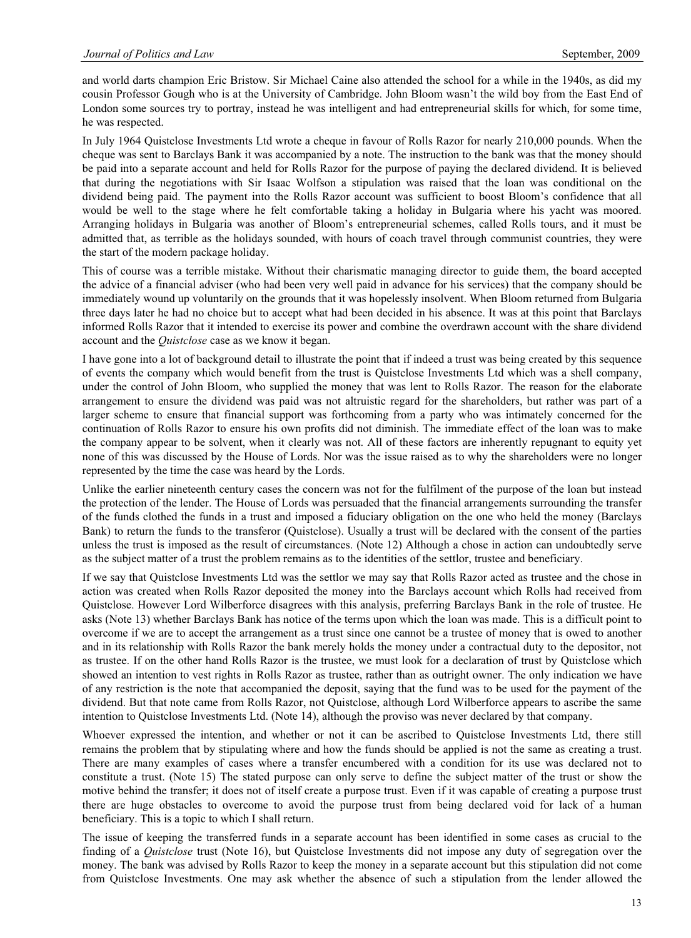and world darts champion Eric Bristow. Sir Michael Caine also attended the school for a while in the 1940s, as did my cousin Professor Gough who is at the University of Cambridge. John Bloom wasn't the wild boy from the East End of London some sources try to portray, instead he was intelligent and had entrepreneurial skills for which, for some time, he was respected.

In July 1964 Quistclose Investments Ltd wrote a cheque in favour of Rolls Razor for nearly 210,000 pounds. When the cheque was sent to Barclays Bank it was accompanied by a note. The instruction to the bank was that the money should be paid into a separate account and held for Rolls Razor for the purpose of paying the declared dividend. It is believed that during the negotiations with Sir Isaac Wolfson a stipulation was raised that the loan was conditional on the dividend being paid. The payment into the Rolls Razor account was sufficient to boost Bloom's confidence that all would be well to the stage where he felt comfortable taking a holiday in Bulgaria where his yacht was moored. Arranging holidays in Bulgaria was another of Bloom's entrepreneurial schemes, called Rolls tours, and it must be admitted that, as terrible as the holidays sounded, with hours of coach travel through communist countries, they were the start of the modern package holiday.

This of course was a terrible mistake. Without their charismatic managing director to guide them, the board accepted the advice of a financial adviser (who had been very well paid in advance for his services) that the company should be immediately wound up voluntarily on the grounds that it was hopelessly insolvent. When Bloom returned from Bulgaria three days later he had no choice but to accept what had been decided in his absence. It was at this point that Barclays informed Rolls Razor that it intended to exercise its power and combine the overdrawn account with the share dividend account and the *Quistclose* case as we know it began.

I have gone into a lot of background detail to illustrate the point that if indeed a trust was being created by this sequence of events the company which would benefit from the trust is Quistclose Investments Ltd which was a shell company, under the control of John Bloom, who supplied the money that was lent to Rolls Razor. The reason for the elaborate arrangement to ensure the dividend was paid was not altruistic regard for the shareholders, but rather was part of a larger scheme to ensure that financial support was forthcoming from a party who was intimately concerned for the continuation of Rolls Razor to ensure his own profits did not diminish. The immediate effect of the loan was to make the company appear to be solvent, when it clearly was not. All of these factors are inherently repugnant to equity yet none of this was discussed by the House of Lords. Nor was the issue raised as to why the shareholders were no longer represented by the time the case was heard by the Lords.

Unlike the earlier nineteenth century cases the concern was not for the fulfilment of the purpose of the loan but instead the protection of the lender. The House of Lords was persuaded that the financial arrangements surrounding the transfer of the funds clothed the funds in a trust and imposed a fiduciary obligation on the one who held the money (Barclays Bank) to return the funds to the transferor (Quistclose). Usually a trust will be declared with the consent of the parties unless the trust is imposed as the result of circumstances. (Note 12) Although a chose in action can undoubtedly serve as the subject matter of a trust the problem remains as to the identities of the settlor, trustee and beneficiary.

If we say that Quistclose Investments Ltd was the settlor we may say that Rolls Razor acted as trustee and the chose in action was created when Rolls Razor deposited the money into the Barclays account which Rolls had received from Quistclose. However Lord Wilberforce disagrees with this analysis, preferring Barclays Bank in the role of trustee. He asks (Note 13) whether Barclays Bank has notice of the terms upon which the loan was made. This is a difficult point to overcome if we are to accept the arrangement as a trust since one cannot be a trustee of money that is owed to another and in its relationship with Rolls Razor the bank merely holds the money under a contractual duty to the depositor, not as trustee. If on the other hand Rolls Razor is the trustee, we must look for a declaration of trust by Quistclose which showed an intention to vest rights in Rolls Razor as trustee, rather than as outright owner. The only indication we have of any restriction is the note that accompanied the deposit, saying that the fund was to be used for the payment of the dividend. But that note came from Rolls Razor, not Quistclose, although Lord Wilberforce appears to ascribe the same intention to Quistclose Investments Ltd. (Note 14), although the proviso was never declared by that company.

Whoever expressed the intention, and whether or not it can be ascribed to Quistclose Investments Ltd, there still remains the problem that by stipulating where and how the funds should be applied is not the same as creating a trust. There are many examples of cases where a transfer encumbered with a condition for its use was declared not to constitute a trust. (Note 15) The stated purpose can only serve to define the subject matter of the trust or show the motive behind the transfer; it does not of itself create a purpose trust. Even if it was capable of creating a purpose trust there are huge obstacles to overcome to avoid the purpose trust from being declared void for lack of a human beneficiary. This is a topic to which I shall return.

The issue of keeping the transferred funds in a separate account has been identified in some cases as crucial to the finding of a *Quistclose* trust (Note 16), but Quistclose Investments did not impose any duty of segregation over the money. The bank was advised by Rolls Razor to keep the money in a separate account but this stipulation did not come from Quistclose Investments. One may ask whether the absence of such a stipulation from the lender allowed the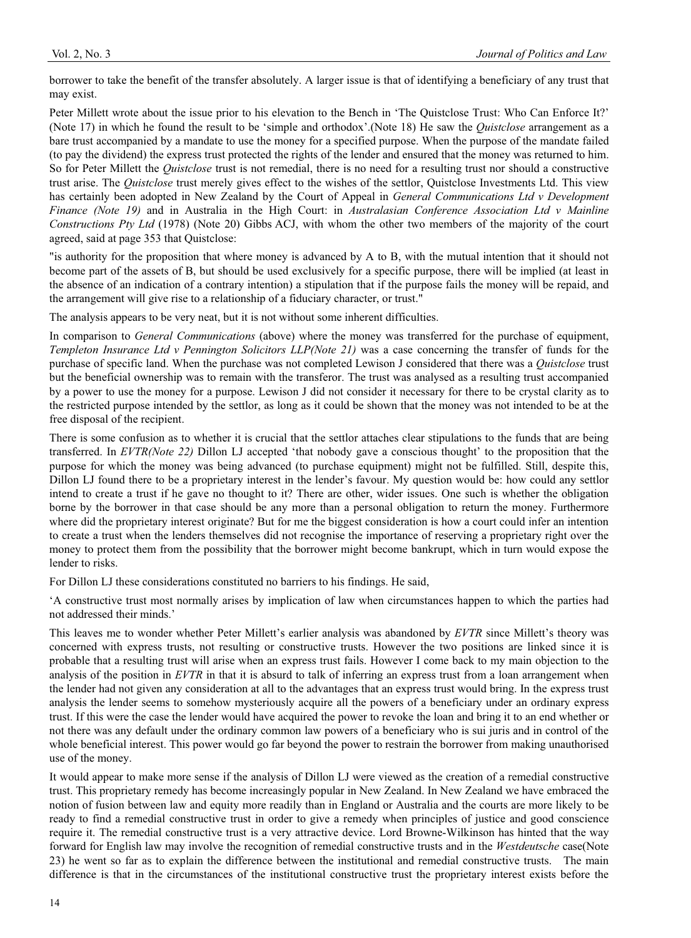borrower to take the benefit of the transfer absolutely. A larger issue is that of identifying a beneficiary of any trust that may exist.

Peter Millett wrote about the issue prior to his elevation to the Bench in 'The Quistclose Trust: Who Can Enforce It?' (Note 17) in which he found the result to be 'simple and orthodox'.(Note 18) He saw the *Quistclose* arrangement as a bare trust accompanied by a mandate to use the money for a specified purpose. When the purpose of the mandate failed (to pay the dividend) the express trust protected the rights of the lender and ensured that the money was returned to him. So for Peter Millett the *Quistclose* trust is not remedial, there is no need for a resulting trust nor should a constructive trust arise. The *Quistclose* trust merely gives effect to the wishes of the settlor, Quistclose Investments Ltd. This view has certainly been adopted in New Zealand by the Court of Appeal in *General Communications Ltd v Development Finance (Note 19)* and in Australia in the High Court: in *Australasian Conference Association Ltd v Mainline Constructions Pty Ltd* (1978) (Note 20) Gibbs ACJ, with whom the other two members of the majority of the court agreed, said at page 353 that Quistclose:

"is authority for the proposition that where money is advanced by A to B, with the mutual intention that it should not become part of the assets of B, but should be used exclusively for a specific purpose, there will be implied (at least in the absence of an indication of a contrary intention) a stipulation that if the purpose fails the money will be repaid, and the arrangement will give rise to a relationship of a fiduciary character, or trust."

The analysis appears to be very neat, but it is not without some inherent difficulties.

In comparison to *General Communications* (above) where the money was transferred for the purchase of equipment, *Templeton Insurance Ltd v Pennington Solicitors LLP(Note 21)* was a case concerning the transfer of funds for the purchase of specific land. When the purchase was not completed Lewison J considered that there was a *Quistclose* trust but the beneficial ownership was to remain with the transferor. The trust was analysed as a resulting trust accompanied by a power to use the money for a purpose. Lewison J did not consider it necessary for there to be crystal clarity as to the restricted purpose intended by the settlor, as long as it could be shown that the money was not intended to be at the free disposal of the recipient.

There is some confusion as to whether it is crucial that the settlor attaches clear stipulations to the funds that are being transferred. In *EVTR(Note 22)* Dillon LJ accepted 'that nobody gave a conscious thought' to the proposition that the purpose for which the money was being advanced (to purchase equipment) might not be fulfilled. Still, despite this, Dillon LJ found there to be a proprietary interest in the lender's favour. My question would be: how could any settlor intend to create a trust if he gave no thought to it? There are other, wider issues. One such is whether the obligation borne by the borrower in that case should be any more than a personal obligation to return the money. Furthermore where did the proprietary interest originate? But for me the biggest consideration is how a court could infer an intention to create a trust when the lenders themselves did not recognise the importance of reserving a proprietary right over the money to protect them from the possibility that the borrower might become bankrupt, which in turn would expose the lender to risks.

For Dillon LJ these considerations constituted no barriers to his findings. He said,

'A constructive trust most normally arises by implication of law when circumstances happen to which the parties had not addressed their minds.'

This leaves me to wonder whether Peter Millett's earlier analysis was abandoned by *EVTR* since Millett's theory was concerned with express trusts, not resulting or constructive trusts. However the two positions are linked since it is probable that a resulting trust will arise when an express trust fails. However I come back to my main objection to the analysis of the position in *EVTR* in that it is absurd to talk of inferring an express trust from a loan arrangement when the lender had not given any consideration at all to the advantages that an express trust would bring. In the express trust analysis the lender seems to somehow mysteriously acquire all the powers of a beneficiary under an ordinary express trust. If this were the case the lender would have acquired the power to revoke the loan and bring it to an end whether or not there was any default under the ordinary common law powers of a beneficiary who is sui juris and in control of the whole beneficial interest. This power would go far beyond the power to restrain the borrower from making unauthorised use of the money.

It would appear to make more sense if the analysis of Dillon LJ were viewed as the creation of a remedial constructive trust. This proprietary remedy has become increasingly popular in New Zealand. In New Zealand we have embraced the notion of fusion between law and equity more readily than in England or Australia and the courts are more likely to be ready to find a remedial constructive trust in order to give a remedy when principles of justice and good conscience require it. The remedial constructive trust is a very attractive device. Lord Browne-Wilkinson has hinted that the way forward for English law may involve the recognition of remedial constructive trusts and in the *Westdeutsche* case(Note 23) he went so far as to explain the difference between the institutional and remedial constructive trusts. The main difference is that in the circumstances of the institutional constructive trust the proprietary interest exists before the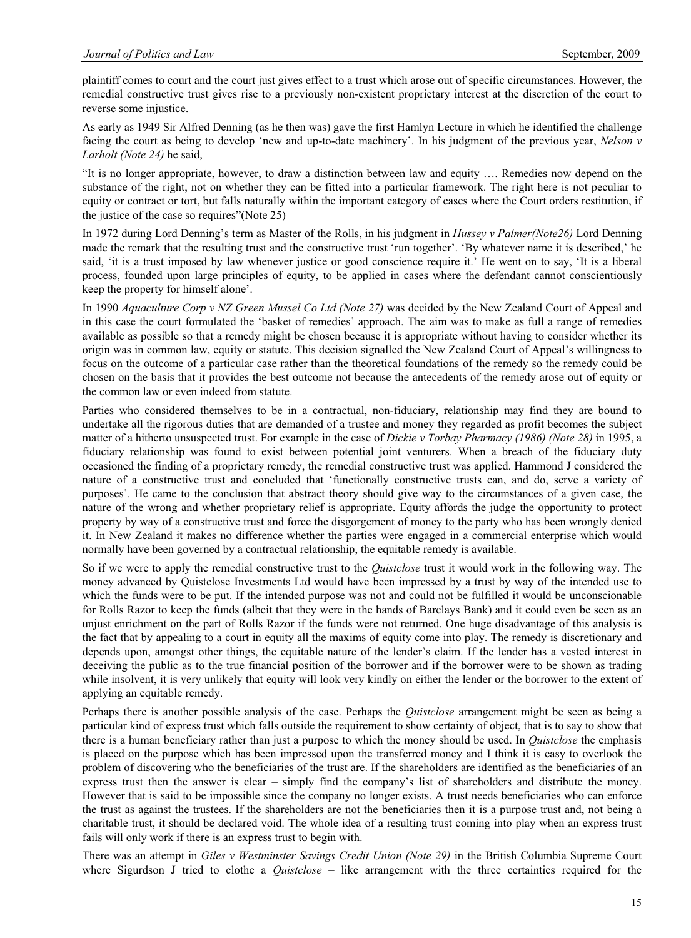plaintiff comes to court and the court just gives effect to a trust which arose out of specific circumstances. However, the remedial constructive trust gives rise to a previously non-existent proprietary interest at the discretion of the court to reverse some injustice.

As early as 1949 Sir Alfred Denning (as he then was) gave the first Hamlyn Lecture in which he identified the challenge facing the court as being to develop 'new and up-to-date machinery'. In his judgment of the previous year, *Nelson v Larholt (Note 24)* he said,

"It is no longer appropriate, however, to draw a distinction between law and equity …. Remedies now depend on the substance of the right, not on whether they can be fitted into a particular framework. The right here is not peculiar to equity or contract or tort, but falls naturally within the important category of cases where the Court orders restitution, if the justice of the case so requires"(Note 25)

In 1972 during Lord Denning's term as Master of the Rolls, in his judgment in *Hussey v Palmer(Note26)* Lord Denning made the remark that the resulting trust and the constructive trust 'run together'. 'By whatever name it is described,' he said, 'it is a trust imposed by law whenever justice or good conscience require it.' He went on to say, 'It is a liberal process, founded upon large principles of equity, to be applied in cases where the defendant cannot conscientiously keep the property for himself alone'.

In 1990 *Aquaculture Corp v NZ Green Mussel Co Ltd (Note 27)* was decided by the New Zealand Court of Appeal and in this case the court formulated the 'basket of remedies' approach. The aim was to make as full a range of remedies available as possible so that a remedy might be chosen because it is appropriate without having to consider whether its origin was in common law, equity or statute. This decision signalled the New Zealand Court of Appeal's willingness to focus on the outcome of a particular case rather than the theoretical foundations of the remedy so the remedy could be chosen on the basis that it provides the best outcome not because the antecedents of the remedy arose out of equity or the common law or even indeed from statute.

Parties who considered themselves to be in a contractual, non-fiduciary, relationship may find they are bound to undertake all the rigorous duties that are demanded of a trustee and money they regarded as profit becomes the subject matter of a hitherto unsuspected trust. For example in the case of *Dickie v Torbay Pharmacy (1986) (Note 28)* in 1995, a fiduciary relationship was found to exist between potential joint venturers. When a breach of the fiduciary duty occasioned the finding of a proprietary remedy, the remedial constructive trust was applied. Hammond J considered the nature of a constructive trust and concluded that 'functionally constructive trusts can, and do, serve a variety of purposes'. He came to the conclusion that abstract theory should give way to the circumstances of a given case, the nature of the wrong and whether proprietary relief is appropriate. Equity affords the judge the opportunity to protect property by way of a constructive trust and force the disgorgement of money to the party who has been wrongly denied it. In New Zealand it makes no difference whether the parties were engaged in a commercial enterprise which would normally have been governed by a contractual relationship, the equitable remedy is available.

So if we were to apply the remedial constructive trust to the *Quistclose* trust it would work in the following way. The money advanced by Quistclose Investments Ltd would have been impressed by a trust by way of the intended use to which the funds were to be put. If the intended purpose was not and could not be fulfilled it would be unconscionable for Rolls Razor to keep the funds (albeit that they were in the hands of Barclays Bank) and it could even be seen as an unjust enrichment on the part of Rolls Razor if the funds were not returned. One huge disadvantage of this analysis is the fact that by appealing to a court in equity all the maxims of equity come into play. The remedy is discretionary and depends upon, amongst other things, the equitable nature of the lender's claim. If the lender has a vested interest in deceiving the public as to the true financial position of the borrower and if the borrower were to be shown as trading while insolvent, it is very unlikely that equity will look very kindly on either the lender or the borrower to the extent of applying an equitable remedy.

Perhaps there is another possible analysis of the case. Perhaps the *Quistclose* arrangement might be seen as being a particular kind of express trust which falls outside the requirement to show certainty of object, that is to say to show that there is a human beneficiary rather than just a purpose to which the money should be used. In *Quistclose* the emphasis is placed on the purpose which has been impressed upon the transferred money and I think it is easy to overlook the problem of discovering who the beneficiaries of the trust are. If the shareholders are identified as the beneficiaries of an express trust then the answer is clear – simply find the company's list of shareholders and distribute the money. However that is said to be impossible since the company no longer exists. A trust needs beneficiaries who can enforce the trust as against the trustees. If the shareholders are not the beneficiaries then it is a purpose trust and, not being a charitable trust, it should be declared void. The whole idea of a resulting trust coming into play when an express trust fails will only work if there is an express trust to begin with.

There was an attempt in *Giles v Westminster Savings Credit Union (Note 29)* in the British Columbia Supreme Court where Sigurdson J tried to clothe a *Quistclose* – like arrangement with the three certainties required for the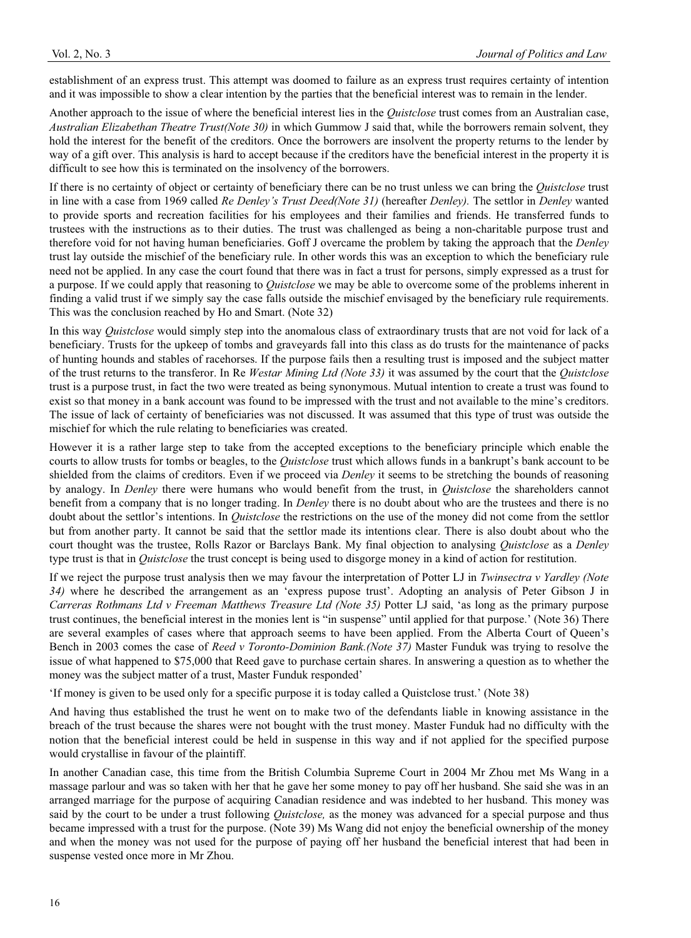establishment of an express trust. This attempt was doomed to failure as an express trust requires certainty of intention and it was impossible to show a clear intention by the parties that the beneficial interest was to remain in the lender.

Another approach to the issue of where the beneficial interest lies in the *Quistclose* trust comes from an Australian case, *Australian Elizabethan Theatre Trust(Note 30)* in which Gummow J said that, while the borrowers remain solvent, they hold the interest for the benefit of the creditors. Once the borrowers are insolvent the property returns to the lender by way of a gift over. This analysis is hard to accept because if the creditors have the beneficial interest in the property it is difficult to see how this is terminated on the insolvency of the borrowers.

If there is no certainty of object or certainty of beneficiary there can be no trust unless we can bring the *Quistclose* trust in line with a case from 1969 called *Re Denley's Trust Deed(Note 31)* (hereafter *Denley).* The settlor in *Denley* wanted to provide sports and recreation facilities for his employees and their families and friends. He transferred funds to trustees with the instructions as to their duties. The trust was challenged as being a non-charitable purpose trust and therefore void for not having human beneficiaries. Goff J overcame the problem by taking the approach that the *Denley*  trust lay outside the mischief of the beneficiary rule. In other words this was an exception to which the beneficiary rule need not be applied. In any case the court found that there was in fact a trust for persons, simply expressed as a trust for a purpose. If we could apply that reasoning to *Quistclose* we may be able to overcome some of the problems inherent in finding a valid trust if we simply say the case falls outside the mischief envisaged by the beneficiary rule requirements. This was the conclusion reached by Ho and Smart. (Note 32)

In this way *Quistclose* would simply step into the anomalous class of extraordinary trusts that are not void for lack of a beneficiary. Trusts for the upkeep of tombs and graveyards fall into this class as do trusts for the maintenance of packs of hunting hounds and stables of racehorses. If the purpose fails then a resulting trust is imposed and the subject matter of the trust returns to the transferor. In Re *Westar Mining Ltd (Note 33)* it was assumed by the court that the *Quistclose* trust is a purpose trust, in fact the two were treated as being synonymous. Mutual intention to create a trust was found to exist so that money in a bank account was found to be impressed with the trust and not available to the mine's creditors. The issue of lack of certainty of beneficiaries was not discussed. It was assumed that this type of trust was outside the mischief for which the rule relating to beneficiaries was created.

However it is a rather large step to take from the accepted exceptions to the beneficiary principle which enable the courts to allow trusts for tombs or beagles, to the *Quistclose* trust which allows funds in a bankrupt's bank account to be shielded from the claims of creditors. Even if we proceed via *Denley* it seems to be stretching the bounds of reasoning by analogy. In *Denley* there were humans who would benefit from the trust, in *Quistclose* the shareholders cannot benefit from a company that is no longer trading. In *Denley* there is no doubt about who are the trustees and there is no doubt about the settlor's intentions. In *Quistclose* the restrictions on the use of the money did not come from the settlor but from another party. It cannot be said that the settlor made its intentions clear. There is also doubt about who the court thought was the trustee, Rolls Razor or Barclays Bank. My final objection to analysing *Quistclose* as a *Denley*  type trust is that in *Quistclose* the trust concept is being used to disgorge money in a kind of action for restitution.

If we reject the purpose trust analysis then we may favour the interpretation of Potter LJ in *Twinsectra v Yardley (Note 34)* where he described the arrangement as an 'express pupose trust'. Adopting an analysis of Peter Gibson J in *Carreras Rothmans Ltd v Freeman Matthews Treasure Ltd (Note 35)* Potter LJ said, 'as long as the primary purpose trust continues, the beneficial interest in the monies lent is "in suspense" until applied for that purpose.' (Note 36) There are several examples of cases where that approach seems to have been applied. From the Alberta Court of Queen's Bench in 2003 comes the case of *Reed v Toronto-Dominion Bank.(Note 37)* Master Funduk was trying to resolve the issue of what happened to \$75,000 that Reed gave to purchase certain shares. In answering a question as to whether the money was the subject matter of a trust, Master Funduk responded'

'If money is given to be used only for a specific purpose it is today called a Quistclose trust.' (Note 38)

And having thus established the trust he went on to make two of the defendants liable in knowing assistance in the breach of the trust because the shares were not bought with the trust money. Master Funduk had no difficulty with the notion that the beneficial interest could be held in suspense in this way and if not applied for the specified purpose would crystallise in favour of the plaintiff.

In another Canadian case, this time from the British Columbia Supreme Court in 2004 Mr Zhou met Ms Wang in a massage parlour and was so taken with her that he gave her some money to pay off her husband. She said she was in an arranged marriage for the purpose of acquiring Canadian residence and was indebted to her husband. This money was said by the court to be under a trust following *Quistclose,* as the money was advanced for a special purpose and thus became impressed with a trust for the purpose. (Note 39) Ms Wang did not enjoy the beneficial ownership of the money and when the money was not used for the purpose of paying off her husband the beneficial interest that had been in suspense vested once more in Mr Zhou.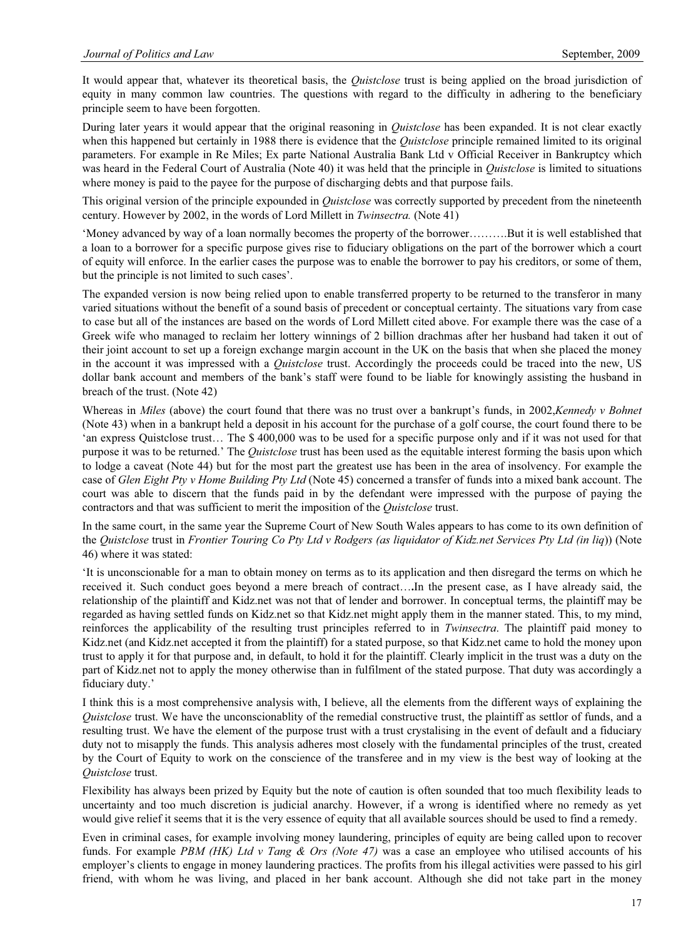It would appear that, whatever its theoretical basis, the *Quistclose* trust is being applied on the broad jurisdiction of equity in many common law countries. The questions with regard to the difficulty in adhering to the beneficiary principle seem to have been forgotten.

During later years it would appear that the original reasoning in *Quistclose* has been expanded. It is not clear exactly when this happened but certainly in 1988 there is evidence that the *Quistclose* principle remained limited to its original parameters. For example in Re Miles; Ex parte National Australia Bank Ltd v Official Receiver in Bankruptcy which was heard in the Federal Court of Australia (Note 40) it was held that the principle in *Quistclose* is limited to situations where money is paid to the payee for the purpose of discharging debts and that purpose fails.

This original version of the principle expounded in *Quistclose* was correctly supported by precedent from the nineteenth century. However by 2002, in the words of Lord Millett in *Twinsectra.* (Note 41)

'Money advanced by way of a loan normally becomes the property of the borrower……….But it is well established that a loan to a borrower for a specific purpose gives rise to fiduciary obligations on the part of the borrower which a court of equity will enforce. In the earlier cases the purpose was to enable the borrower to pay his creditors, or some of them, but the principle is not limited to such cases'.

The expanded version is now being relied upon to enable transferred property to be returned to the transferor in many varied situations without the benefit of a sound basis of precedent or conceptual certainty. The situations vary from case to case but all of the instances are based on the words of Lord Millett cited above. For example there was the case of a Greek wife who managed to reclaim her lottery winnings of 2 billion drachmas after her husband had taken it out of their joint account to set up a foreign exchange margin account in the UK on the basis that when she placed the money in the account it was impressed with a *Quistclose* trust. Accordingly the proceeds could be traced into the new, US dollar bank account and members of the bank's staff were found to be liable for knowingly assisting the husband in breach of the trust. (Note 42)

Whereas in *Miles* (above) the court found that there was no trust over a bankrupt's funds, in 2002,*Kennedy v Bohnet*  (Note 43) when in a bankrupt held a deposit in his account for the purchase of a golf course, the court found there to be 'an express Quistclose trust… The \$ 400,000 was to be used for a specific purpose only and if it was not used for that purpose it was to be returned.' The *Quistclose* trust has been used as the equitable interest forming the basis upon which to lodge a caveat (Note 44) but for the most part the greatest use has been in the area of insolvency. For example the case of *Glen Eight Pty v Home Building Pty Ltd* (Note 45) concerned a transfer of funds into a mixed bank account. The court was able to discern that the funds paid in by the defendant were impressed with the purpose of paying the contractors and that was sufficient to merit the imposition of the *Quistclose* trust.

In the same court, in the same year the Supreme Court of New South Wales appears to has come to its own definition of the *Quistclose* trust in *Frontier Touring Co Pty Ltd v Rodgers (as liquidator of Kidz.net Services Pty Ltd (in liq*)) (Note 46) where it was stated:

'It is unconscionable for a man to obtain money on terms as to its application and then disregard the terms on which he received it. Such conduct goes beyond a mere breach of contract…**.**In the present case, as I have already said, the relationship of the plaintiff and Kidz.net was not that of lender and borrower. In conceptual terms, the plaintiff may be regarded as having settled funds on Kidz.net so that Kidz.net might apply them in the manner stated. This, to my mind, reinforces the applicability of the resulting trust principles referred to in *Twinsectra*. The plaintiff paid money to Kidz.net (and Kidz.net accepted it from the plaintiff) for a stated purpose, so that Kidz.net came to hold the money upon trust to apply it for that purpose and, in default, to hold it for the plaintiff. Clearly implicit in the trust was a duty on the part of Kidz.net not to apply the money otherwise than in fulfilment of the stated purpose. That duty was accordingly a fiduciary duty.'

I think this is a most comprehensive analysis with, I believe, all the elements from the different ways of explaining the *Quistclose* trust. We have the unconscionablity of the remedial constructive trust, the plaintiff as settlor of funds, and a resulting trust. We have the element of the purpose trust with a trust crystalising in the event of default and a fiduciary duty not to misapply the funds. This analysis adheres most closely with the fundamental principles of the trust, created by the Court of Equity to work on the conscience of the transferee and in my view is the best way of looking at the *Quistclose* trust.

Flexibility has always been prized by Equity but the note of caution is often sounded that too much flexibility leads to uncertainty and too much discretion is judicial anarchy. However, if a wrong is identified where no remedy as yet would give relief it seems that it is the very essence of equity that all available sources should be used to find a remedy.

Even in criminal cases, for example involving money laundering, principles of equity are being called upon to recover funds. For example *PBM (HK) Ltd v Tang & Ors (Note 47)* was a case an employee who utilised accounts of his employer's clients to engage in money laundering practices. The profits from his illegal activities were passed to his girl friend, with whom he was living, and placed in her bank account. Although she did not take part in the money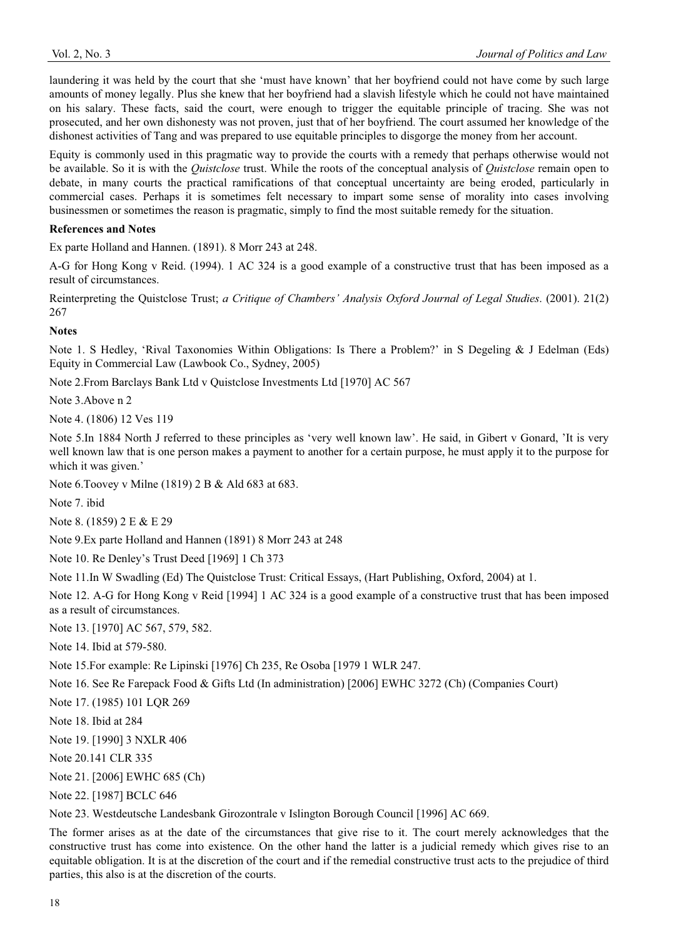laundering it was held by the court that she 'must have known' that her boyfriend could not have come by such large amounts of money legally. Plus she knew that her boyfriend had a slavish lifestyle which he could not have maintained on his salary. These facts, said the court, were enough to trigger the equitable principle of tracing. She was not prosecuted, and her own dishonesty was not proven, just that of her boyfriend. The court assumed her knowledge of the dishonest activities of Tang and was prepared to use equitable principles to disgorge the money from her account.

Equity is commonly used in this pragmatic way to provide the courts with a remedy that perhaps otherwise would not be available. So it is with the *Quistclose* trust. While the roots of the conceptual analysis of *Quistclose* remain open to debate, in many courts the practical ramifications of that conceptual uncertainty are being eroded, particularly in commercial cases. Perhaps it is sometimes felt necessary to impart some sense of morality into cases involving businessmen or sometimes the reason is pragmatic, simply to find the most suitable remedy for the situation.

## **References and Notes**

Ex parte Holland and Hannen. (1891). 8 Morr 243 at 248.

A-G for Hong Kong v Reid. (1994). 1 AC 324 is a good example of a constructive trust that has been imposed as a result of circumstances.

Reinterpreting the Quistclose Trust; *a Critique of Chambers' Analysis Oxford Journal of Legal Studies*. (2001). 21(2) 267

## **Notes**

Note 1. S Hedley, 'Rival Taxonomies Within Obligations: Is There a Problem?' in S Degeling & J Edelman (Eds) Equity in Commercial Law (Lawbook Co., Sydney, 2005)

Note 2.From Barclays Bank Ltd v Quistclose Investments Ltd [1970] AC 567

Note 3.Above n 2

Note 4. (1806) 12 Ves 119

Note 5.In 1884 North J referred to these principles as 'very well known law'. He said, in Gibert v Gonard, 'It is very well known law that is one person makes a payment to another for a certain purpose, he must apply it to the purpose for which it was given.'

Note 6.Toovey v Milne (1819) 2 B & Ald 683 at 683.

Note 7. ibid

Note 8. (1859) 2 E & E 29

Note 9.Ex parte Holland and Hannen (1891) 8 Morr 243 at 248

Note 10. Re Denley's Trust Deed [1969] 1 Ch 373

Note 11.In W Swadling (Ed) The Quistclose Trust: Critical Essays, (Hart Publishing, Oxford, 2004) at 1.

Note 12. A-G for Hong Kong v Reid [1994] 1 AC 324 is a good example of a constructive trust that has been imposed as a result of circumstances.

Note 13. [1970] AC 567, 579, 582.

Note 14. Ibid at 579-580.

Note 15.For example: Re Lipinski [1976] Ch 235, Re Osoba [1979 1 WLR 247.

Note 16. See Re Farepack Food & Gifts Ltd (In administration) [2006] EWHC 3272 (Ch) (Companies Court)

Note 17. (1985) 101 LQR 269

Note 18. Ibid at 284

Note 19. [1990] 3 NXLR 406

Note 20.141 CLR 335

Note 21. [2006] EWHC 685 (Ch)

Note 22. [1987] BCLC 646

Note 23. Westdeutsche Landesbank Girozontrale v Islington Borough Council [1996] AC 669.

The former arises as at the date of the circumstances that give rise to it. The court merely acknowledges that the constructive trust has come into existence. On the other hand the latter is a judicial remedy which gives rise to an equitable obligation. It is at the discretion of the court and if the remedial constructive trust acts to the prejudice of third parties, this also is at the discretion of the courts.